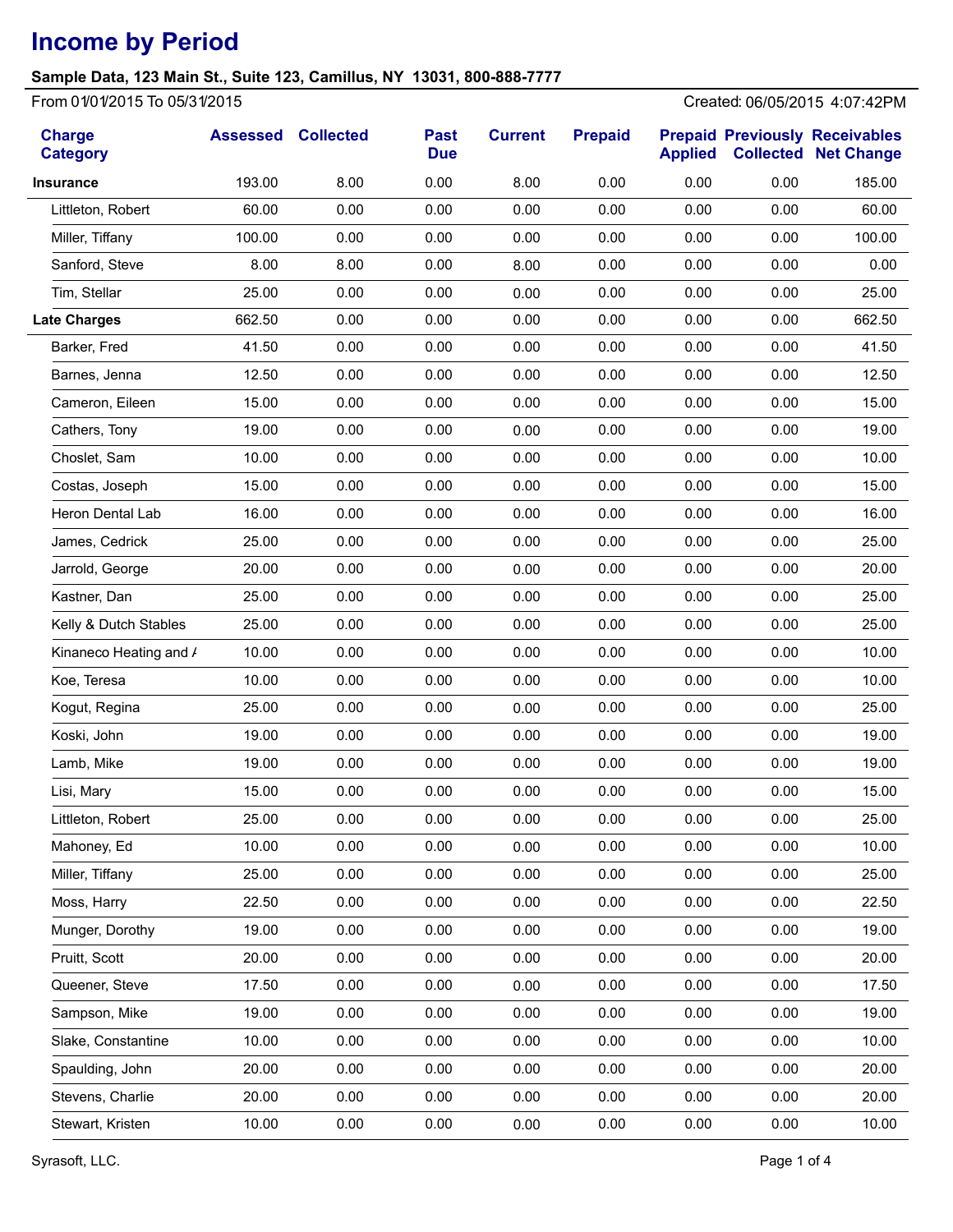## **Sample Data, 123 Main St., Suite 123, Camillus, NY 13031, 800-888-7777**

From 01/01/2015 To 05/31/2015 Created: 06/05/2015 4:07:42PM

| <b>Charge</b><br><b>Category</b> | <b>Assessed</b> | <b>Collected</b> | <b>Past</b><br><b>Due</b> | <b>Current</b> | <b>Prepaid</b> | <b>Applied</b> |      | <b>Prepaid Previously Receivables</b><br><b>Collected Net Change</b> |
|----------------------------------|-----------------|------------------|---------------------------|----------------|----------------|----------------|------|----------------------------------------------------------------------|
| <b>Insurance</b>                 | 193.00          | 8.00             | 0.00                      | 8.00           | 0.00           | 0.00           | 0.00 | 185.00                                                               |
| Littleton, Robert                | 60.00           | 0.00             | 0.00                      | 0.00           | 0.00           | 0.00           | 0.00 | 60.00                                                                |
| Miller, Tiffany                  | 100.00          | 0.00             | 0.00                      | 0.00           | 0.00           | 0.00           | 0.00 | 100.00                                                               |
| Sanford, Steve                   | 8.00            | 8.00             | 0.00                      | 8.00           | 0.00           | 0.00           | 0.00 | 0.00                                                                 |
| Tim, Stellar                     | 25.00           | 0.00             | 0.00                      | 0.00           | 0.00           | 0.00           | 0.00 | 25.00                                                                |
| <b>Late Charges</b>              | 662.50          | 0.00             | 0.00                      | 0.00           | 0.00           | 0.00           | 0.00 | 662.50                                                               |
| Barker, Fred                     | 41.50           | 0.00             | 0.00                      | 0.00           | 0.00           | 0.00           | 0.00 | 41.50                                                                |
| Barnes, Jenna                    | 12.50           | 0.00             | 0.00                      | 0.00           | 0.00           | 0.00           | 0.00 | 12.50                                                                |
| Cameron, Eileen                  | 15.00           | 0.00             | 0.00                      | 0.00           | 0.00           | 0.00           | 0.00 | 15.00                                                                |
| Cathers, Tony                    | 19.00           | 0.00             | 0.00                      | 0.00           | 0.00           | 0.00           | 0.00 | 19.00                                                                |
| Choslet, Sam                     | 10.00           | 0.00             | 0.00                      | 0.00           | 0.00           | 0.00           | 0.00 | 10.00                                                                |
| Costas, Joseph                   | 15.00           | 0.00             | 0.00                      | 0.00           | 0.00           | 0.00           | 0.00 | 15.00                                                                |
| <b>Heron Dental Lab</b>          | 16.00           | 0.00             | 0.00                      | 0.00           | 0.00           | 0.00           | 0.00 | 16.00                                                                |
| James, Cedrick                   | 25.00           | 0.00             | 0.00                      | 0.00           | 0.00           | 0.00           | 0.00 | 25.00                                                                |
| Jarrold, George                  | 20.00           | 0.00             | 0.00                      | 0.00           | 0.00           | 0.00           | 0.00 | 20.00                                                                |
| Kastner, Dan                     | 25.00           | 0.00             | 0.00                      | 0.00           | 0.00           | 0.00           | 0.00 | 25.00                                                                |
| Kelly & Dutch Stables            | 25.00           | 0.00             | 0.00                      | 0.00           | 0.00           | 0.00           | 0.00 | 25.00                                                                |
| Kinaneco Heating and /           | 10.00           | 0.00             | 0.00                      | 0.00           | 0.00           | 0.00           | 0.00 | 10.00                                                                |
| Koe, Teresa                      | 10.00           | 0.00             | 0.00                      | 0.00           | 0.00           | 0.00           | 0.00 | 10.00                                                                |
| Kogut, Regina                    | 25.00           | 0.00             | 0.00                      | 0.00           | 0.00           | 0.00           | 0.00 | 25.00                                                                |
| Koski, John                      | 19.00           | 0.00             | 0.00                      | 0.00           | 0.00           | 0.00           | 0.00 | 19.00                                                                |
| Lamb, Mike                       | 19.00           | 0.00             | 0.00                      | 0.00           | 0.00           | 0.00           | 0.00 | 19.00                                                                |
| Lisi, Mary                       | 15.00           | 0.00             | 0.00                      | 0.00           | 0.00           | 0.00           | 0.00 | 15.00                                                                |
| Littleton, Robert                | 25.00           | 0.00             | 0.00                      | 0.00           | 0.00           | 0.00           | 0.00 | 25.00                                                                |
| Mahoney, Ed                      | 10.00           | 0.00             | 0.00                      | 0.00           | 0.00           | 0.00           | 0.00 | 10.00                                                                |
| Miller, Tiffany                  | 25.00           | 0.00             | 0.00                      | 0.00           | 0.00           | 0.00           | 0.00 | 25.00                                                                |
| Moss, Harry                      | 22.50           | 0.00             | 0.00                      | 0.00           | 0.00           | 0.00           | 0.00 | 22.50                                                                |
| Munger, Dorothy                  | 19.00           | 0.00             | 0.00                      | 0.00           | 0.00           | 0.00           | 0.00 | 19.00                                                                |
| Pruitt, Scott                    | 20.00           | 0.00             | 0.00                      | 0.00           | 0.00           | 0.00           | 0.00 | 20.00                                                                |
| Queener, Steve                   | 17.50           | 0.00             | 0.00                      | 0.00           | 0.00           | 0.00           | 0.00 | 17.50                                                                |
| Sampson, Mike                    | 19.00           | 0.00             | 0.00                      | 0.00           | 0.00           | 0.00           | 0.00 | 19.00                                                                |
| Slake, Constantine               | 10.00           | 0.00             | 0.00                      | 0.00           | 0.00           | 0.00           | 0.00 | 10.00                                                                |
| Spaulding, John                  | 20.00           | 0.00             | 0.00                      | 0.00           | 0.00           | 0.00           | 0.00 | 20.00                                                                |
| Stevens, Charlie                 | 20.00           | 0.00             | 0.00                      | 0.00           | 0.00           | 0.00           | 0.00 | 20.00                                                                |
| Stewart, Kristen                 | 10.00           | 0.00             | 0.00                      | 0.00           | 0.00           | 0.00           | 0.00 | 10.00                                                                |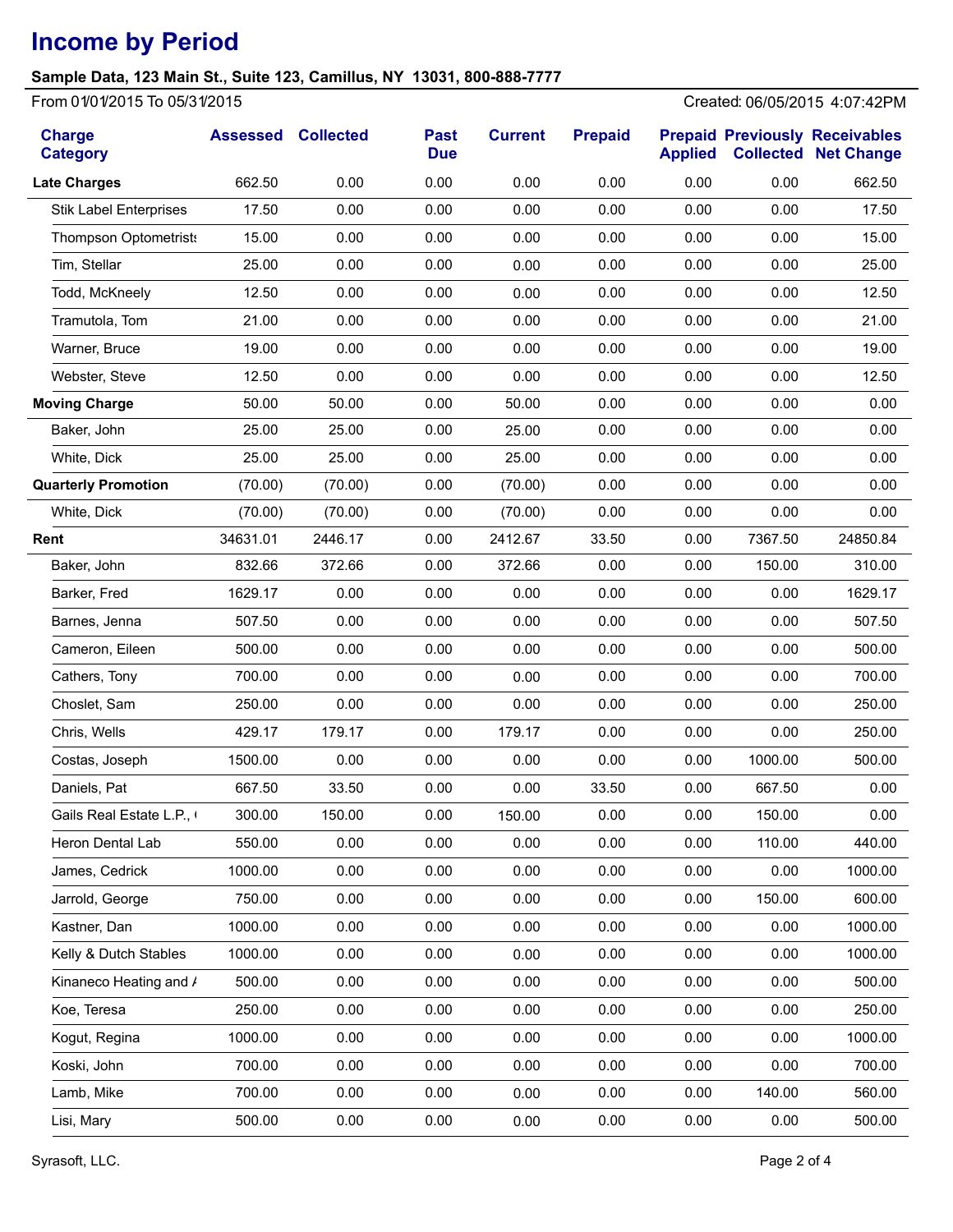## **Sample Data, 123 Main St., Suite 123, Camillus, NY 13031, 800-888-7777**

From 01/01/2015 To 05/31/2015 Created: 06/05/2015 4:07:42PM

| <b>Charge</b><br><b>Category</b> | <b>Assessed Collected</b> |         | <b>Past</b><br><b>Due</b> | <b>Current</b> | <b>Prepaid</b> | <b>Applied</b> |         | <b>Prepaid Previously Receivables</b><br><b>Collected Net Change</b> |
|----------------------------------|---------------------------|---------|---------------------------|----------------|----------------|----------------|---------|----------------------------------------------------------------------|
| <b>Late Charges</b>              | 662.50                    | 0.00    | 0.00                      | 0.00           | 0.00           | 0.00           | 0.00    | 662.50                                                               |
| <b>Stik Label Enterprises</b>    | 17.50                     | 0.00    | 0.00                      | 0.00           | 0.00           | 0.00           | 0.00    | 17.50                                                                |
| <b>Thompson Optometrists</b>     | 15.00                     | 0.00    | 0.00                      | 0.00           | 0.00           | 0.00           | 0.00    | 15.00                                                                |
| Tim, Stellar                     | 25.00                     | 0.00    | 0.00                      | 0.00           | 0.00           | 0.00           | 0.00    | 25.00                                                                |
| Todd, McKneely                   | 12.50                     | 0.00    | 0.00                      | 0.00           | 0.00           | 0.00           | 0.00    | 12.50                                                                |
| Tramutola, Tom                   | 21.00                     | 0.00    | 0.00                      | 0.00           | 0.00           | 0.00           | 0.00    | 21.00                                                                |
| Warner, Bruce                    | 19.00                     | 0.00    | 0.00                      | 0.00           | 0.00           | 0.00           | 0.00    | 19.00                                                                |
| Webster, Steve                   | 12.50                     | 0.00    | 0.00                      | 0.00           | 0.00           | 0.00           | 0.00    | 12.50                                                                |
| <b>Moving Charge</b>             | 50.00                     | 50.00   | 0.00                      | 50.00          | 0.00           | 0.00           | 0.00    | 0.00                                                                 |
| Baker, John                      | 25.00                     | 25.00   | 0.00                      | 25.00          | 0.00           | 0.00           | 0.00    | 0.00                                                                 |
| White, Dick                      | 25.00                     | 25.00   | 0.00                      | 25.00          | 0.00           | 0.00           | 0.00    | 0.00                                                                 |
| <b>Quarterly Promotion</b>       | (70.00)                   | (70.00) | 0.00                      | (70.00)        | 0.00           | 0.00           | 0.00    | 0.00                                                                 |
| White, Dick                      | (70.00)                   | (70.00) | 0.00                      | (70.00)        | 0.00           | 0.00           | 0.00    | 0.00                                                                 |
| Rent                             | 34631.01                  | 2446.17 | 0.00                      | 2412.67        | 33.50          | 0.00           | 7367.50 | 24850.84                                                             |
| Baker, John                      | 832.66                    | 372.66  | 0.00                      | 372.66         | 0.00           | 0.00           | 150.00  | 310.00                                                               |
| Barker, Fred                     | 1629.17                   | 0.00    | 0.00                      | 0.00           | 0.00           | 0.00           | 0.00    | 1629.17                                                              |
| Barnes, Jenna                    | 507.50                    | 0.00    | 0.00                      | 0.00           | 0.00           | 0.00           | 0.00    | 507.50                                                               |
| Cameron, Eileen                  | 500.00                    | 0.00    | 0.00                      | 0.00           | 0.00           | 0.00           | 0.00    | 500.00                                                               |
| Cathers, Tony                    | 700.00                    | 0.00    | 0.00                      | 0.00           | 0.00           | 0.00           | 0.00    | 700.00                                                               |
| Choslet, Sam                     | 250.00                    | 0.00    | 0.00                      | 0.00           | 0.00           | 0.00           | 0.00    | 250.00                                                               |
| Chris, Wells                     | 429.17                    | 179.17  | 0.00                      | 179.17         | 0.00           | 0.00           | 0.00    | 250.00                                                               |
| Costas, Joseph                   | 1500.00                   | 0.00    | 0.00                      | 0.00           | 0.00           | 0.00           | 1000.00 | 500.00                                                               |
| Daniels, Pat                     | 667.50                    | 33.50   | 0.00                      | 0.00           | 33.50          | 0.00           | 667.50  | 0.00                                                                 |
| Gails Real Estate L.P., I        | 300.00                    | 150.00  | 0.00                      | 150.00         | 0.00           | 0.00           | 150.00  | 0.00                                                                 |
| Heron Dental Lab                 | 550.00                    | 0.00    | 0.00                      | 0.00           | 0.00           | 0.00           | 110.00  | 440.00                                                               |
| James, Cedrick                   | 1000.00                   | 0.00    | 0.00                      | 0.00           | 0.00           | 0.00           | 0.00    | 1000.00                                                              |
| Jarrold, George                  | 750.00                    | 0.00    | 0.00                      | 0.00           | 0.00           | 0.00           | 150.00  | 600.00                                                               |
| Kastner, Dan                     | 1000.00                   | 0.00    | 0.00                      | 0.00           | 0.00           | 0.00           | 0.00    | 1000.00                                                              |
| Kelly & Dutch Stables            | 1000.00                   | 0.00    | 0.00                      | 0.00           | 0.00           | 0.00           | 0.00    | 1000.00                                                              |
| Kinaneco Heating and /           | 500.00                    | 0.00    | 0.00                      | 0.00           | 0.00           | 0.00           | 0.00    | 500.00                                                               |
| Koe, Teresa                      | 250.00                    | 0.00    | 0.00                      | 0.00           | 0.00           | 0.00           | 0.00    | 250.00                                                               |
| Kogut, Regina                    | 1000.00                   | 0.00    | 0.00                      | 0.00           | 0.00           | 0.00           | 0.00    | 1000.00                                                              |
| Koski, John                      | 700.00                    | 0.00    | 0.00                      | 0.00           | 0.00           | 0.00           | 0.00    | 700.00                                                               |
| Lamb, Mike                       | 700.00                    | 0.00    | 0.00                      | 0.00           | 0.00           | 0.00           | 140.00  | 560.00                                                               |
| Lisi, Mary                       | 500.00                    | 0.00    | 0.00                      | 0.00           | 0.00           | 0.00           | 0.00    | 500.00                                                               |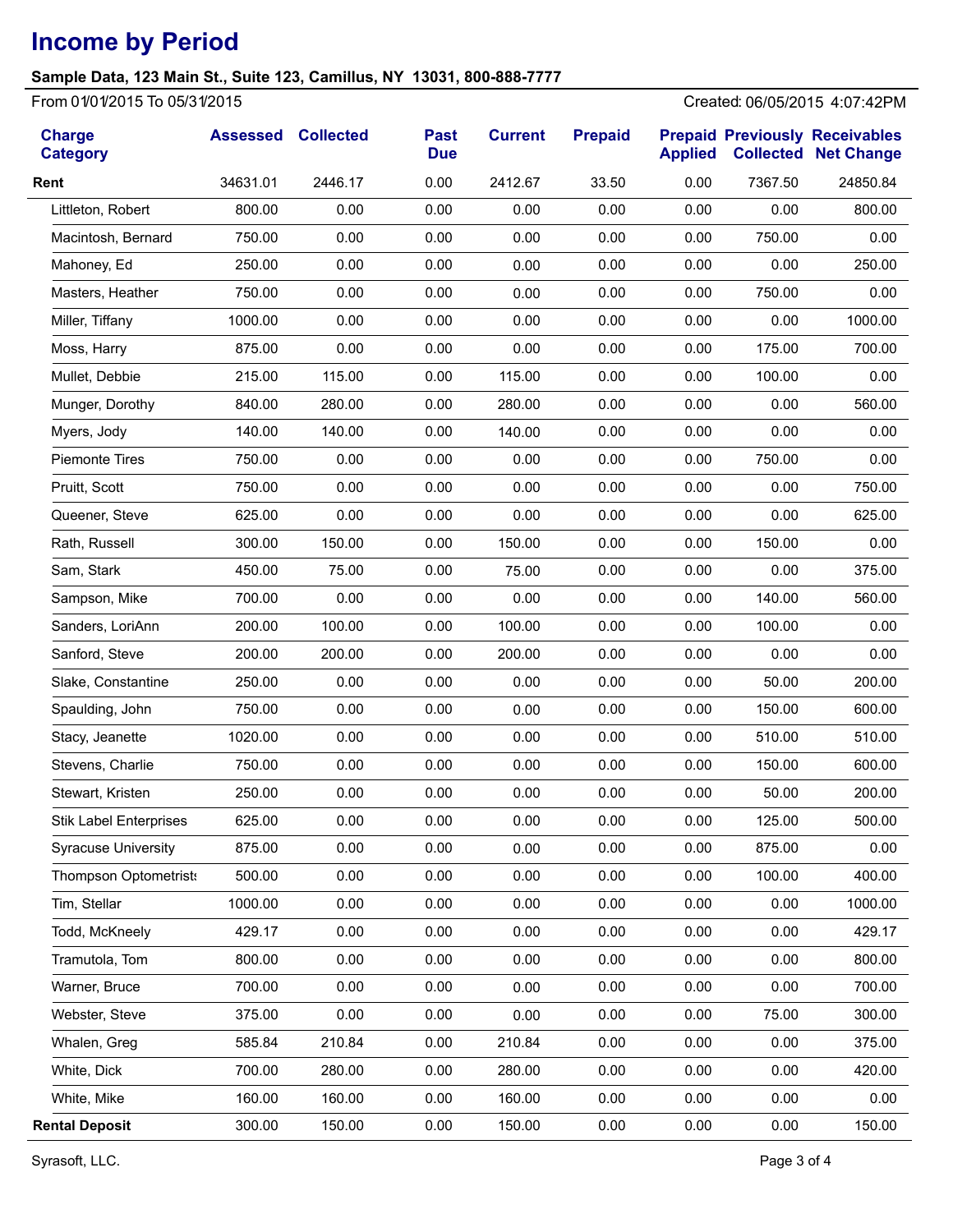## **Sample Data, 123 Main St., Suite 123, Camillus, NY 13031, 800-888-7777**

From 01/01/2015 To 05/31/2015 Created: 06/05/2015 4:07:42PM

| <b>Charge</b><br><b>Category</b> | <b>Assessed Collected</b> |         | <b>Past</b><br><b>Due</b> | <b>Current</b> | <b>Prepaid</b> | <b>Applied</b> |         | <b>Prepaid Previously Receivables</b><br><b>Collected Net Change</b> |
|----------------------------------|---------------------------|---------|---------------------------|----------------|----------------|----------------|---------|----------------------------------------------------------------------|
| Rent                             | 34631.01                  | 2446.17 | 0.00                      | 2412.67        | 33.50          | 0.00           | 7367.50 | 24850.84                                                             |
| Littleton, Robert                | 800.00                    | 0.00    | 0.00                      | 0.00           | 0.00           | 0.00           | 0.00    | 800.00                                                               |
| Macintosh, Bernard               | 750.00                    | 0.00    | 0.00                      | 0.00           | 0.00           | 0.00           | 750.00  | 0.00                                                                 |
| Mahoney, Ed                      | 250.00                    | 0.00    | 0.00                      | 0.00           | 0.00           | 0.00           | 0.00    | 250.00                                                               |
| Masters, Heather                 | 750.00                    | 0.00    | 0.00                      | 0.00           | 0.00           | 0.00           | 750.00  | 0.00                                                                 |
| Miller, Tiffany                  | 1000.00                   | 0.00    | 0.00                      | 0.00           | 0.00           | 0.00           | 0.00    | 1000.00                                                              |
| Moss, Harry                      | 875.00                    | 0.00    | 0.00                      | 0.00           | 0.00           | 0.00           | 175.00  | 700.00                                                               |
| Mullet, Debbie                   | 215.00                    | 115.00  | 0.00                      | 115.00         | 0.00           | 0.00           | 100.00  | 0.00                                                                 |
| Munger, Dorothy                  | 840.00                    | 280.00  | 0.00                      | 280.00         | 0.00           | 0.00           | 0.00    | 560.00                                                               |
| Myers, Jody                      | 140.00                    | 140.00  | 0.00                      | 140.00         | 0.00           | 0.00           | 0.00    | 0.00                                                                 |
| <b>Piemonte Tires</b>            | 750.00                    | 0.00    | 0.00                      | 0.00           | 0.00           | 0.00           | 750.00  | 0.00                                                                 |
| Pruitt, Scott                    | 750.00                    | 0.00    | 0.00                      | 0.00           | 0.00           | 0.00           | 0.00    | 750.00                                                               |
| Queener, Steve                   | 625.00                    | 0.00    | 0.00                      | 0.00           | 0.00           | 0.00           | 0.00    | 625.00                                                               |
| Rath, Russell                    | 300.00                    | 150.00  | 0.00                      | 150.00         | 0.00           | 0.00           | 150.00  | 0.00                                                                 |
| Sam, Stark                       | 450.00                    | 75.00   | 0.00                      | 75.00          | 0.00           | 0.00           | 0.00    | 375.00                                                               |
| Sampson, Mike                    | 700.00                    | 0.00    | 0.00                      | 0.00           | 0.00           | 0.00           | 140.00  | 560.00                                                               |
| Sanders, LoriAnn                 | 200.00                    | 100.00  | 0.00                      | 100.00         | 0.00           | 0.00           | 100.00  | 0.00                                                                 |
| Sanford, Steve                   | 200.00                    | 200.00  | 0.00                      | 200.00         | 0.00           | 0.00           | 0.00    | 0.00                                                                 |
| Slake, Constantine               | 250.00                    | 0.00    | 0.00                      | 0.00           | 0.00           | 0.00           | 50.00   | 200.00                                                               |
| Spaulding, John                  | 750.00                    | 0.00    | 0.00                      | 0.00           | 0.00           | 0.00           | 150.00  | 600.00                                                               |
| Stacy, Jeanette                  | 1020.00                   | 0.00    | 0.00                      | 0.00           | 0.00           | 0.00           | 510.00  | 510.00                                                               |
| Stevens, Charlie                 | 750.00                    | 0.00    | 0.00                      | 0.00           | 0.00           | 0.00           | 150.00  | 600.00                                                               |
| Stewart, Kristen                 | 250.00                    | 0.00    | 0.00                      | 0.00           | 0.00           | 0.00           | 50.00   | 200.00                                                               |
| <b>Stik Label Enterprises</b>    | 625.00                    | 0.00    | 0.00                      | 0.00           | 0.00           | 0.00           | 125.00  | 500.00                                                               |
| <b>Syracuse University</b>       | 875.00                    | 0.00    | 0.00                      | 0.00           | 0.00           | 0.00           | 875.00  | 0.00                                                                 |
| <b>Thompson Optometrists</b>     | 500.00                    | 0.00    | 0.00                      | 0.00           | 0.00           | 0.00           | 100.00  | 400.00                                                               |
| Tim, Stellar                     | 1000.00                   | 0.00    | 0.00                      | 0.00           | 0.00           | 0.00           | 0.00    | 1000.00                                                              |
| Todd, McKneely                   | 429.17                    | 0.00    | 0.00                      | 0.00           | 0.00           | 0.00           | 0.00    | 429.17                                                               |
| Tramutola, Tom                   | 800.00                    | 0.00    | 0.00                      | 0.00           | 0.00           | 0.00           | 0.00    | 800.00                                                               |
| Warner, Bruce                    | 700.00                    | 0.00    | 0.00                      | 0.00           | 0.00           | 0.00           | 0.00    | 700.00                                                               |
| Webster, Steve                   | 375.00                    | 0.00    | 0.00                      | 0.00           | 0.00           | 0.00           | 75.00   | 300.00                                                               |
| Whalen, Greg                     | 585.84                    | 210.84  | 0.00                      | 210.84         | 0.00           | 0.00           | 0.00    | 375.00                                                               |
| White, Dick                      | 700.00                    | 280.00  | 0.00                      | 280.00         | 0.00           | 0.00           | 0.00    | 420.00                                                               |
| White, Mike                      | 160.00                    | 160.00  | 0.00                      | 160.00         | 0.00           | 0.00           | 0.00    | 0.00                                                                 |
| <b>Rental Deposit</b>            | 300.00                    | 150.00  | 0.00                      | 150.00         | 0.00           | 0.00           | 0.00    | 150.00                                                               |

Syrasoft, LLC. Page 3 of 4